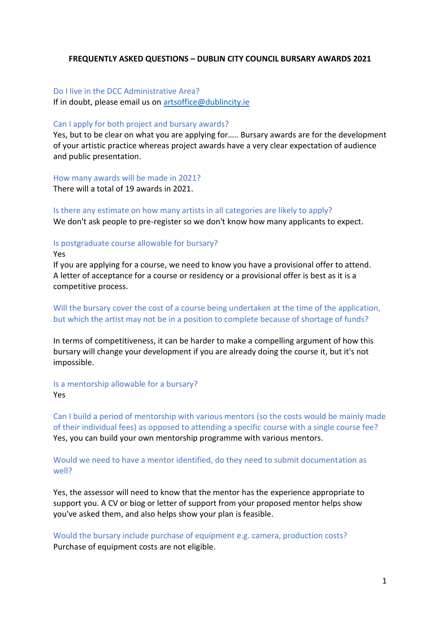# **FREQUENTLY ASKED QUESTIONS – DUBLIN CITY COUNCIL BURSARY AWARDS 2021**

## Do I live in the DCC Administrative Area?

If in doubt, please email us on [artsoffice@dublincity.ie](mailto:artsoffice@dublincity.ie)

### Can I apply for both project and bursary awards?

Yes, but to be clear on what you are applying for….. Bursary awards are for the development of your artistic practice whereas project awards have a very clear expectation of audience and public presentation.

How many awards will be made in 2021?

There will a total of 19 awards in 2021.

## Is there any estimate on how many artists in all categories are likely to apply?

We don't ask people to pre-register so we don't know how many applicants to expect.

## Is postgraduate course allowable for bursary?

Yes

If you are applying for a course, we need to know you have a provisional offer to attend. A letter of acceptance for a course or residency or a provisional offer is best as it is a competitive process.

Will the bursary cover the cost of a course being undertaken at the time of the application, but which the artist may not be in a position to complete because of shortage of funds?

In terms of competitiveness, it can be harder to make a compelling argument of how this bursary will change your development if you are already doing the course it, but it's not impossible.

# Is a mentorship allowable for a bursary?

Yes

Can I build a period of mentorship with various mentors (so the costs would be mainly made of their individual fees) as opposed to attending a specific course with a single course fee? Yes, you can build your own mentorship programme with various mentors.

# Would we need to have a mentor identified, do they need to submit documentation as well?

Yes, the assessor will need to know that the mentor has the experience appropriate to support you. A CV or biog or letter of support from your proposed mentor helps show you've asked them, and also helps show your plan is feasible.

Would the bursary include purchase of equipment e.g. camera, production costs? Purchase of equipment costs are not eligible.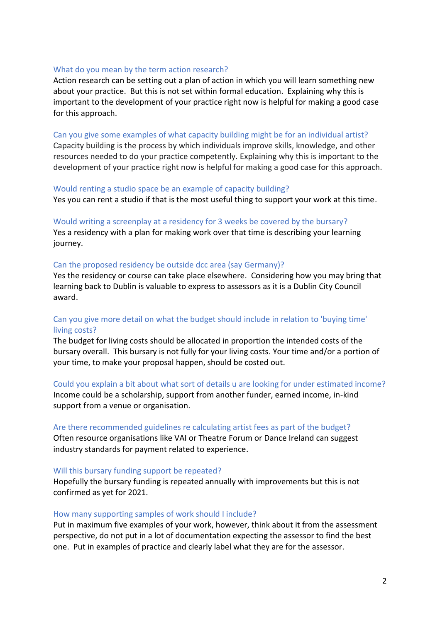### What do you mean by the term action research?

Action research can be setting out a plan of action in which you will learn something new about your practice. But this is not set within formal education. Explaining why this is important to the development of your practice right now is helpful for making a good case for this approach.

### Can you give some examples of what capacity building might be for an individual artist?

Capacity building is the process by which individuals improve skills, knowledge, and other resources needed to do your practice competently. Explaining why this is important to the development of your practice right now is helpful for making a good case for this approach.

### Would renting a studio space be an example of capacity building? Yes you can rent a studio if that is the most useful thing to support your work at this time.

Would writing a screenplay at a residency for 3 weeks be covered by the bursary? Yes a residency with a plan for making work over that time is describing your learning journey.

## Can the proposed residency be outside dcc area (say Germany)?

Yes the residency or course can take place elsewhere. Considering how you may bring that learning back to Dublin is valuable to express to assessors as it is a Dublin City Council award.

# Can you give more detail on what the budget should include in relation to 'buying time' living costs?

The budget for living costs should be allocated in proportion the intended costs of the bursary overall. This bursary is not fully for your living costs. Your time and/or a portion of your time, to make your proposal happen, should be costed out.

#### Could you explain a bit about what sort of details u are looking for under estimated income?

Income could be a scholarship, support from another funder, earned income, in-kind support from a venue or organisation.

# Are there recommended guidelines re calculating artist fees as part of the budget? Often resource organisations like VAI or Theatre Forum or Dance Ireland can suggest industry standards for payment related to experience.

#### Will this bursary funding support be repeated?

Hopefully the bursary funding is repeated annually with improvements but this is not confirmed as yet for 2021.

#### How many supporting samples of work should I include?

Put in maximum five examples of your work, however, think about it from the assessment perspective, do not put in a lot of documentation expecting the assessor to find the best one. Put in examples of practice and clearly label what they are for the assessor.